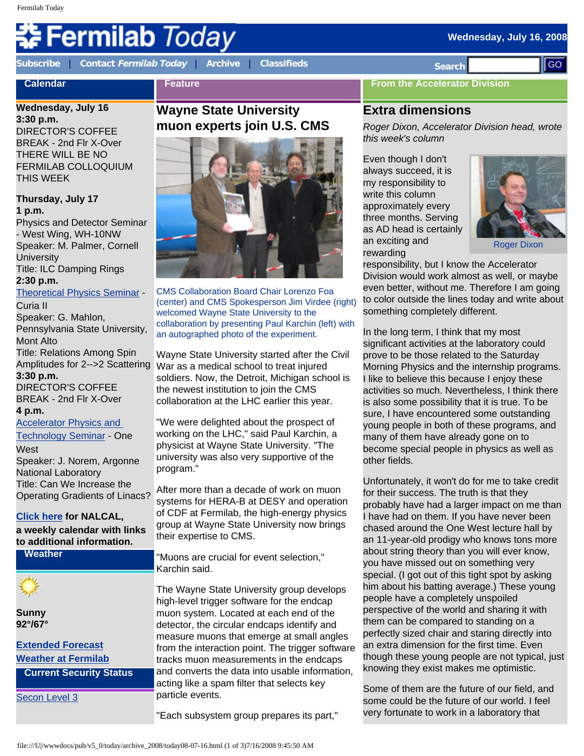#### **Wednesday, July 16, 2008**

# Fermilab *Today*

**[Subscribe](http://www.fnal.gov/pub/today/subscription.html)** | **Contact [Fermilab Today](mailto:today@fnal.gov)** | **[Archive](http://www.fnal.gov/pub/today/archive.html)** | **[Classifieds](http://www.fnal.gov/pub/today/classifieds.html) Search** 

**Feature**

**Calendar**

## **Wednesday, July 16**

**3:30 p.m.** DIRECTOR'S COFFEE BREAK - 2nd Flr X-Over THERE WILL BE NO FERMILAB COLLOQUIUM THIS WEEK

**Thursday, July 17 1 p.m.** 

Physics and Detector Seminar - West Wing, WH-10NW Speaker: M. Palmer, Cornell **University** Title: ILC Damping Rings **2:30 p.m.** [Theoretical Physics Seminar](http://theory.fnal.gov/seminars/seminars.html) -

Curia II

Speaker: G. Mahlon, Pennsylvania State University, Mont Alto Title: Relations Among Spin Amplitudes for 2-->2 Scattering **3:30 p.m.**  DIRECTOR'S COFFEE BREAK - 2nd Flr X-Over **4 p.m.** 

[Accelerator Physics and](http://www-bd.fnal.gov/ADSeminars/) [Technology Seminar](http://www-bd.fnal.gov/ADSeminars/) - One

**West** Speaker: J. Norem, Argonne National Laboratory Title: Can We Increase the Operating Gradients of Linacs?

## **[Click here](http://www.fnal.gov/directorate/nalcal/nalcal07_14_08.html) for NALCAL,**

**a weekly calendar with links to additional information.**

**Weather**

**Sunny 92°/67°**

**[Extended Forecast](http://forecast.weather.gov/MapClick.php?CityName=Batavia&state=IL&site=LOT) [Weather at Fermilab](http://www-esh.fnal.gov/pls/default/weather.html)**

**Current Security Status**

[Secon Level 3](http://www.fnal.gov/pub/about/public_affairs/currentstatus.html)

## **Wayne State University muon experts join U.S. CMS**



CMS Collaboration Board Chair Lorenzo Foa (center) and CMS Spokesperson Jim Virdee (right) welcomed Wayne State University to the collaboration by presenting Paul Karchin (left) with an autographed photo of the experiment.

Wayne State University started after the Civil War as a medical school to treat injured soldiers. Now, the Detroit, Michigan school is the newest institution to join the CMS collaboration at the LHC earlier this year.

"We were delighted about the prospect of working on the LHC," said Paul Karchin, a physicist at Wayne State University. "The university was also very supportive of the program."

After more than a decade of work on muon systems for HERA-B at DESY and operation of CDF at Fermilab, the high-energy physics group at Wayne State University now brings their expertise to CMS.

"Muons are crucial for event selection," Karchin said.

The Wayne State University group develops high-level trigger software for the endcap muon system. Located at each end of the detector, the circular endcaps identify and measure muons that emerge at small angles from the interaction point. The trigger software tracks muon measurements in the endcaps and converts the data into usable information, acting like a spam filter that selects key particle events.

"Each subsystem group prepares its part,"

## **From the Accelerator Division**

## **Extra dimensions**

*Roger Dixon, Accelerator Division head, wrote this week's column*

Even though I don't always succeed, it is my responsibility to write this column approximately every three months. Serving as AD head is certainly an exciting and rewarding



Roger Dixon

responsibility, but I know the Accelerator Division would work almost as well, or maybe even better, without me. Therefore I am going to color outside the lines today and write about something completely different.

In the long term, I think that my most significant activities at the laboratory could prove to be those related to the Saturday Morning Physics and the internship programs. I like to believe this because I enjoy these activities so much. Nevertheless, I think there is also some possibility that it is true. To be sure, I have encountered some outstanding young people in both of these programs, and many of them have already gone on to become special people in physics as well as other fields.

Unfortunately, it won't do for me to take credit for their success. The truth is that they probably have had a larger impact on me than I have had on them. If you have never been chased around the One West lecture hall by an 11-year-old prodigy who knows tons more about string theory than you will ever know, you have missed out on something very special. (I got out of this tight spot by asking him about his batting average.) These young people have a completely unspoiled perspective of the world and sharing it with them can be compared to standing on a perfectly sized chair and staring directly into an extra dimension for the first time. Even though these young people are not typical, just knowing they exist makes me optimistic. **Example, The COLUMN Transformation of 2008.** Note that the effect of 2008 and the effect of 2008 and the effect of 2008. The column transformation of 2008 and the effect of 2008 and the effect of 2008 and the effect of 2

Some of them are the future of our field, and some could be the future of our world. I feel very fortunate to work in a laboratory that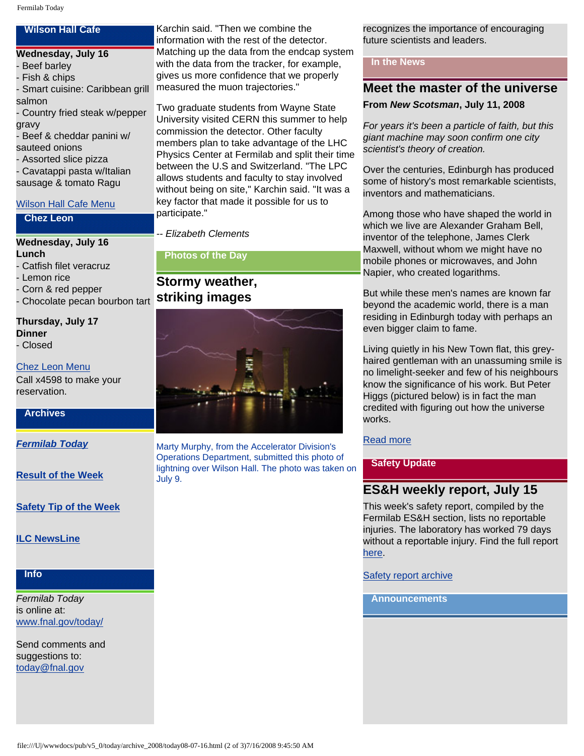## **Wilson Hall Cafe**

#### **Wednesday, July 16**

- Beef barley
- Fish & chips
- Smart cuisine: Caribbean grill

salmon

- Country fried steak w/pepper gravy
- Beef & cheddar panini w/ sauteed onions
- Assorted slice pizza
- Cavatappi pasta w/Italian sausage & tomato Ragu

## [Wilson Hall Cafe Menu](http://bss.fnal.gov/cafe/index.html)

### **Chez Leon**

### **Wednesday, July 16 Lunch**

- Catfish filet veracruz
- Lemon rice
- Corn & red pepper
- Chocolate pecan bourbon tart **striking images**

## **Thursday, July 17 Dinner**

- Closed

## [Chez Leon Menu](http://bss.fnal.gov/chezleon/index.html)

Call x4598 to make your reservation.

## **Archives**

*[Fermilab Today](http://www.fnal.gov/pub/today/archive.html)*

**[Result of the Week](http://www.fnal.gov/pub/today/resultoftheweek/index.html)**

**[Safety Tip of the Week](http://www.fnal.gov/pub/today/safety/)**

## **[ILC NewsLine](http://www.linearcollider.org/newsline/archive/index.html)**

**Info**

*Fermilab Today* is online at: [www.fnal.gov/today/](http://www.fnal.gov/today/)

Send comments and suggestions to: [today@fnal.gov](mailto:today@fnal.gov)

Karchin said. "Then we combine the information with the rest of the detector. Matching up the data from the endcap system with the data from the tracker, for example, gives us more confidence that we properly measured the muon trajectories."

Two graduate students from Wayne State University visited CERN this summer to help commission the detector. Other faculty members plan to take advantage of the LHC Physics Center at Fermilab and split their time between the U.S and Switzerland. "The LPC allows students and faculty to stay involved without being on site," Karchin said. "It was a key factor that made it possible for us to participate."

*-- Elizabeth Clements*

**Photos of the Day**

# **Stormy weather,**



Marty Murphy, from the Accelerator Division's Operations Department, submitted this photo of lightning over Wilson Hall. The photo was taken on July 9.

recognizes the importance of encouraging future scientists and leaders.

## **In the News**

## **Meet the master of the universe**

## **From** *New Scotsman***, July 11, 2008**

*For years it's been a particle of faith, but this giant machine may soon confirm one city scientist's theory of creation.*

Over the centuries, Edinburgh has produced some of history's most remarkable scientists, inventors and mathematicians.

Among those who have shaped the world in which we live are Alexander Graham Bell, inventor of the telephone, James Clerk Maxwell, without whom we might have no mobile phones or microwaves, and John Napier, who created logarithms.

But while these men's names are known far beyond the academic world, there is a man residing in Edinburgh today with perhaps an even bigger claim to fame.

Living quietly in his New Town flat, this greyhaired gentleman with an unassuming smile is no limelight-seeker and few of his neighbours know the significance of his work. But Peter Higgs (pictured below) is in fact the man credited with figuring out how the universe works.

## [Read more](http://news.scotsman.com/education/Meet-the-master--of.4279488.jp)

## **Safety Update**

## **ES&H weekly report, July 15**

This week's safety report, compiled by the Fermilab ES&H section, lists no reportable injuries. The laboratory has worked 79 days without a reportable injury. Find the full report [here](http://www.fnal.gov/pub/today/safetyreport_2008/Safetyreport071508.pdf).

## [Safety report archive](http://www.fnal.gov/pub/today/Safetyreport_2008archive.html)

## **Announcements**